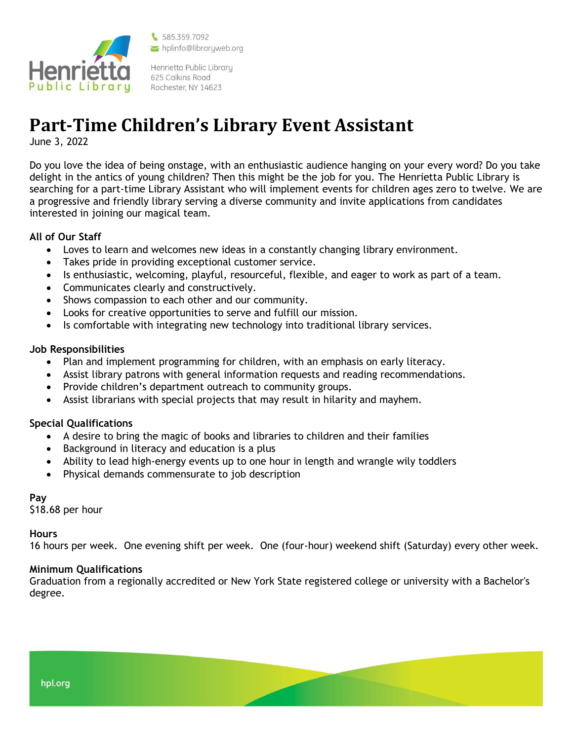

\$585.359.7092 hplinfo@libraryweb.org

Henrietta Public Library 625 Calkins Road Rochester, NY 14623

# **Part-Time Children's Library Event Assistant**

June 3, 2022

Do you love the idea of being onstage, with an enthusiastic audience hanging on your every word? Do you take delight in the antics of young children? Then this might be the job for you. The Henrietta Public Library is searching for a part-time Library Assistant who will implement events for children ages zero to twelve. We are a progressive and friendly library serving a diverse community and invite applications from candidates interested in joining our magical team.

## **All of Our Staff**

- Loves to learn and welcomes new ideas in a constantly changing library environment.
- Takes pride in providing exceptional customer service.
- Is enthusiastic, welcoming, playful, resourceful, flexible, and eager to work as part of a team.
- Communicates clearly and constructively.
- Shows compassion to each other and our community.
- Looks for creative opportunities to serve and fulfill our mission.
- Is comfortable with integrating new technology into traditional library services.

### **Job Responsibilities**

- Plan and implement programming for children, with an emphasis on early literacy.
- Assist library patrons with general information requests and reading recommendations.
- Provide children's department outreach to community groups.
- Assist librarians with special projects that may result in hilarity and mayhem.

## **Special Qualifications**

- A desire to bring the magic of books and libraries to children and their families
- Background in literacy and education is a plus
- Ability to lead high-energy events up to one hour in length and wrangle wily toddlers
- Physical demands commensurate to job description

#### **Pay**

\$18.68 per hour

#### **Hours**

16 hours per week. One evening shift per week. One (four-hour) weekend shift (Saturday) every other week.

#### **Minimum Qualifications**

Graduation from a regionally accredited or New York State registered college or university with a Bachelor's degree.